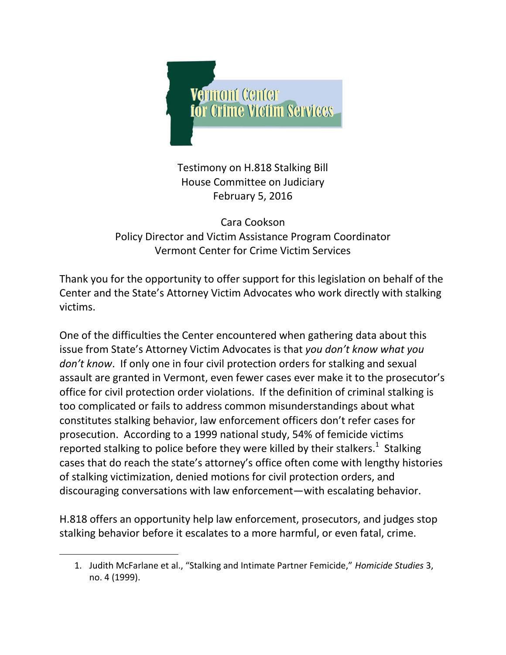

Testimony on H.818 Stalking Bill House Committee on Judiciary February 5, 2016

Cara Cookson Policy Director and Victim Assistance Program Coordinator Vermont Center for Crime Victim Services

Thank you for the opportunity to offer support for this legislation on behalf of the Center and the State's Attorney Victim Advocates who work directly with stalking victims.

One of the difficulties the Center encountered when gathering data about this issue from State's Attorney Victim Advocates is that *you don't know what you don't know*. If only one in four civil protection orders for stalking and sexual assault are granted in Vermont, even fewer cases ever make it to the prosecutor's office for civil protection order violations. If the definition of criminal stalking is too complicated or fails to address common misunderstandings about what constitutes stalking behavior, law enforcement officers don't refer cases for prosecution. According to a 1999 national study, 54% of femicide victims reported stalking to police before they were killed by their stalkers.<sup>1</sup> Stalking cases that do reach the state's attorney's office often come with lengthy histories of stalking victimization, denied motions for civil protection orders, and discouraging conversations with law enforcement—with escalating behavior.

H.818 offers an opportunity help law enforcement, prosecutors, and judges stop stalking behavior before it escalates to a more harmful, or even fatal, crime.

 $\overline{a}$ 

<sup>1.</sup> Judith McFarlane et al., "Stalking and Intimate Partner Femicide," *Homicide Studies* 3, no. 4 (1999).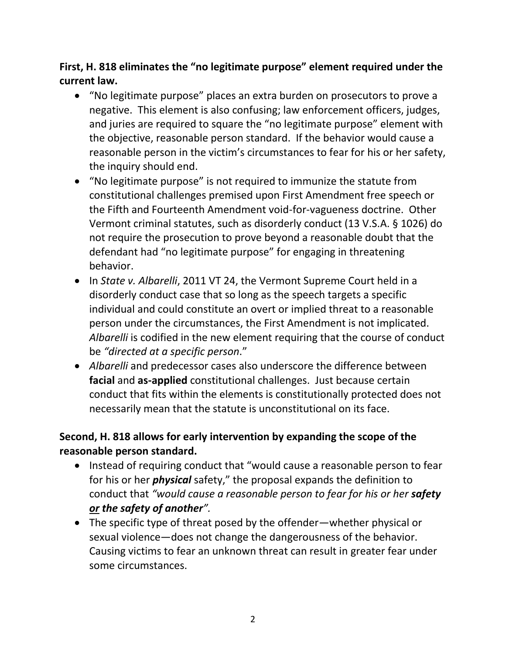# **First, H. 818 eliminates the "no legitimate purpose" element required under the current law.**

- "No legitimate purpose" places an extra burden on prosecutors to prove a negative. This element is also confusing; law enforcement officers, judges, and juries are required to square the "no legitimate purpose" element with the objective, reasonable person standard. If the behavior would cause a reasonable person in the victim's circumstances to fear for his or her safety, the inquiry should end.
- "No legitimate purpose" is not required to immunize the statute from constitutional challenges premised upon First Amendment free speech or the Fifth and Fourteenth Amendment void-for-vagueness doctrine. Other Vermont criminal statutes, such as disorderly conduct (13 V.S.A. § 1026) do not require the prosecution to prove beyond a reasonable doubt that the defendant had "no legitimate purpose" for engaging in threatening behavior.
- In *State v. Albarelli*, 2011 VT 24, the Vermont Supreme Court held in a disorderly conduct case that so long as the speech targets a specific individual and could constitute an overt or implied threat to a reasonable person under the circumstances, the First Amendment is not implicated. *Albarelli* is codified in the new element requiring that the course of conduct be *"directed at a specific person*."
- *Albarelli* and predecessor cases also underscore the difference between **facial** and **as-applied** constitutional challenges. Just because certain conduct that fits within the elements is constitutionally protected does not necessarily mean that the statute is unconstitutional on its face.

#### **Second, H. 818 allows for early intervention by expanding the scope of the reasonable person standard.**

- Instead of requiring conduct that "would cause a reasonable person to fear for his or her *physical* safety," the proposal expands the definition to conduct that *"would cause a reasonable person to fear for his or her safety or the safety of another".*
- The specific type of threat posed by the offender—whether physical or sexual violence—does not change the dangerousness of the behavior. Causing victims to fear an unknown threat can result in greater fear under some circumstances.